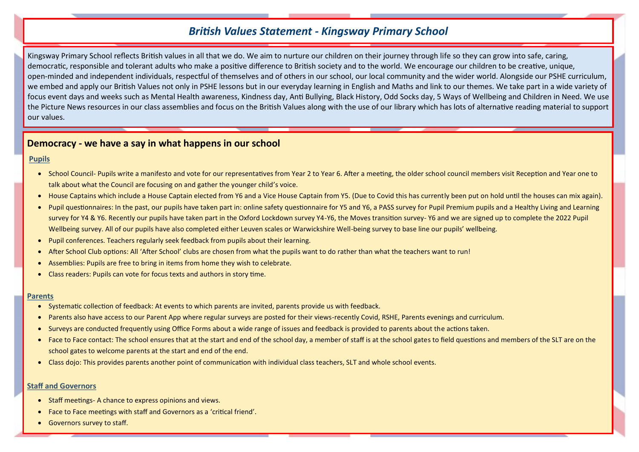# *British Values Statement - Kingsway Primary School*

Kingsway Primary School reflects British values in all that we do. We aim to nurture our children on their journey through life so they can grow into safe, caring, democratic, responsible and tolerant adults who make a positive difference to British society and to the world. We encourage our children to be creative, unique, open-minded and independent individuals, respectful of themselves and of others in our school, our local community and the wider world. Alongside our PSHE curriculum, we embed and apply our British Values not only in PSHE lessons but in our everyday learning in English and Maths and link to our themes. We take part in a wide variety of focus event days and weeks such as Mental Health awareness, Kindness day, Anti Bullying, Black History, Odd Socks day, 5 Ways of Wellbeing and Children in Need. We use the Picture News resources in our class assemblies and focus on the British Values along with the use of our library which has lots of alternative reading material to support our values.

## **Democracy - we have a say in what happens in our school**

### **Pupils**

- School Council- Pupils write a manifesto and vote for our representatives from Year 2 to Year 6. After a meeting, the older school council members visit Reception and Year one to talk about what the Council are focusing on and gather the younger child's voice.
- House Captains which include a House Captain elected from Y6 and a Vice House Captain from Y5. (Due to Covid this has currently been put on hold until the houses can mix again).
- Pupil questionnaires: In the past, our pupils have taken part in: online safety questionnaire for Y5 and Y6, a PASS survey for Pupil Premium pupils and a Healthy Living and Learning survey for Y4 & Y6. Recently our pupils have taken part in the Oxford Lockdown survey Y4-Y6, the Moves transition survey- Y6 and we are signed up to complete the 2022 Pupil Wellbeing survey. All of our pupils have also completed either Leuven scales or Warwickshire Well-being survey to base line our pupils' wellbeing.
- Pupil conferences. Teachers regularly seek feedback from pupils about their learning.
- After School Club options: All 'After School' clubs are chosen from what the pupils want to do rather than what the teachers want to run!
- Assemblies: Pupils are free to bring in items from home they wish to celebrate.
- Class readers: Pupils can vote for focus texts and authors in story time.

### **Parents**

- Systematic collection of feedback: At events to which parents are invited, parents provide us with feedback.
- Parents also have access to our Parent App where regular surveys are posted for their views-recently Covid, RSHE, Parents evenings and curriculum.
- Surveys are conducted frequently using Office Forms about a wide range of issues and feedback is provided to parents about the actions taken.
- Face to Face contact: The school ensures that at the start and end of the school day, a member of staff is at the school gates to field questions and members of the SLT are on the school gates to welcome parents at the start and end of the end.
- Class dojo: This provides parents another point of communication with individual class teachers, SLT and whole school events.

### **Staff and Governors**

- Staff meetings- A chance to express opinions and views.
- Face to Face meetings with staff and Governors as a 'critical friend'.
- Governors survey to staff.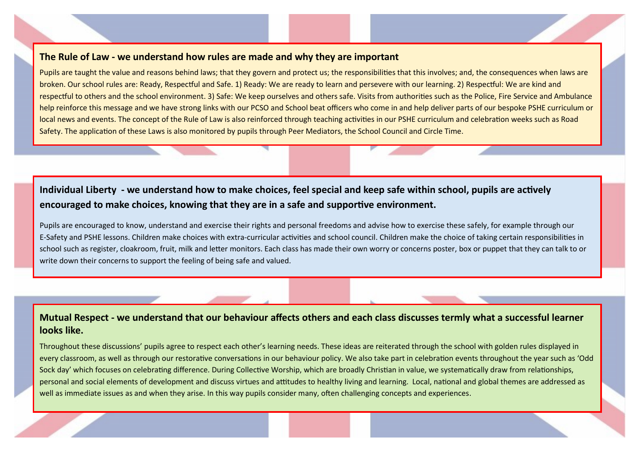## **The Rule of Law - we understand how rules are made and why they are important**

Pupils are taught the value and reasons behind laws; that they govern and protect us; the responsibilities that this involves; and, the consequences when laws are broken. Our school rules are: Ready, Respectful and Safe. 1) Ready: We are ready to learn and persevere with our learning. 2) Respectful: We are kind and respectful to others and the school environment. 3) Safe: We keep ourselves and others safe. Visits from authorities such as the Police, Fire Service and Ambulance help reinforce this message and we have strong links with our PCSO and School beat officers who come in and help deliver parts of our bespoke PSHE curriculum or local news and events. The concept of the Rule of Law is also reinforced through teaching activities in our PSHE curriculum and celebration weeks such as Road Safety. The application of these Laws is also monitored by pupils through Peer Mediators, the School Council and Circle Time.

# **Individual Liberty - we understand how to make choices, feel special and keep safe within school, pupils are actively encouraged to make choices, knowing that they are in a safe and supportive environment.**

Pupils are encouraged to know, understand and exercise their rights and personal freedoms and advise how to exercise these safely, for example through our E-Safety and PSHE lessons. Children make choices with extra-curricular activities and school council. Children make the choice of taking certain responsibilities in school such as register, cloakroom, fruit, milk and letter monitors. Each class has made their own worry or concerns poster, box or puppet that they can talk to or write down their concerns to support the feeling of being safe and valued.

# **Mutual Respect - we understand that our behaviour affects others and each class discusses termly what a successful learner looks like.**

Throughout these discussions' pupils agree to respect each other's learning needs. These ideas are reiterated through the school with golden rules displayed in every classroom, as well as through our restorative conversations in our behaviour policy. We also take part in celebration events throughout the year such as 'Odd Sock day' which focuses on celebrating difference. During Collective Worship, which are broadly Christian in value, we systematically draw from relationships, personal and social elements of development and discuss virtues and attitudes to healthy living and learning. Local, national and global themes are addressed as well as immediate issues as and when they arise. In this way pupils consider many, often challenging concepts and experiences.